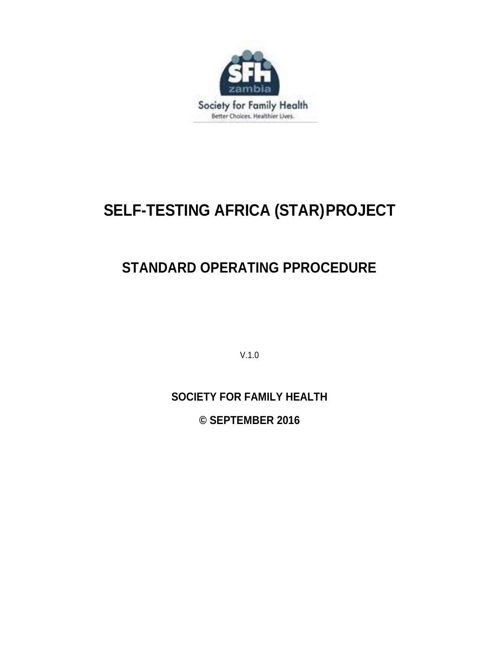

# **SELF-TESTING AFRICA (STAR)PROJECT**

# **STANDARD OPERATING PPROCEDURE**

V.1.0

## **SOCIETY FOR FAMILY HEALTH**

**© SEPTEMBER 2016**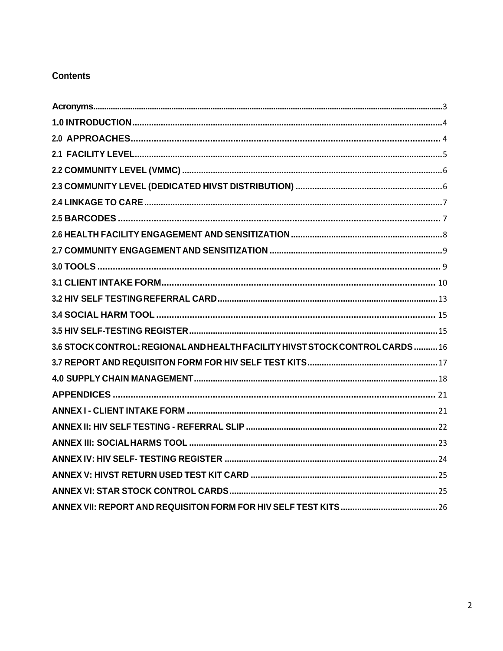## **Contents**

| 3.6 STOCK CONTROL: REGIONAL AND HEALTH FACILITY HIVST STOCK CONTROL CARDS 16 |
|------------------------------------------------------------------------------|
|                                                                              |
|                                                                              |
|                                                                              |
|                                                                              |
|                                                                              |
|                                                                              |
|                                                                              |
|                                                                              |
|                                                                              |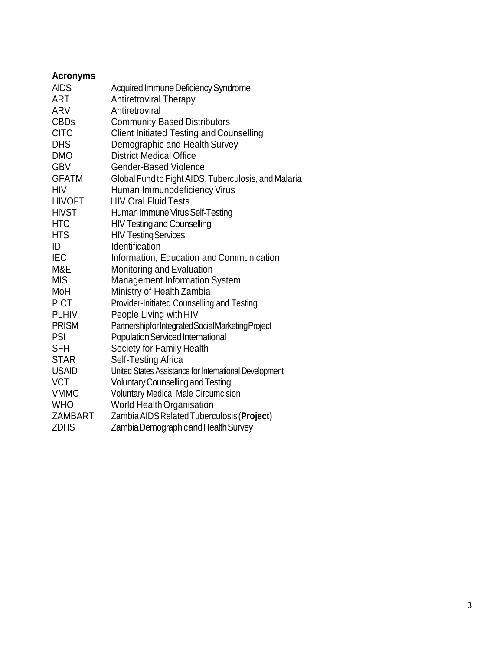<span id="page-2-0"></span>

| <b>Acronyms</b> |                                                        |
|-----------------|--------------------------------------------------------|
| <b>AIDS</b>     | Acquired Immune Deficiency Syndrome                    |
| <b>ART</b>      | <b>Antiretroviral Therapy</b>                          |
| ARV             | Antiretroviral                                         |
| <b>CBDs</b>     | <b>Community Based Distributors</b>                    |
| <b>CITC</b>     | <b>Client Initiated Testing and Counselling</b>        |
| <b>DHS</b>      | Demographic and Health Survey                          |
| <b>DMO</b>      | <b>District Medical Office</b>                         |
| <b>GBV</b>      | <b>Gender-Based Violence</b>                           |
| <b>GFATM</b>    | Global Fund to Fight AIDS, Tuberculosis, and Malaria   |
| <b>HIV</b>      | Human Immunodeficiency Virus                           |
| <b>HIVOFT</b>   | <b>HIV Oral Fluid Tests</b>                            |
| <b>HIVST</b>    | Human Immune Virus Self-Testing                        |
| <b>HTC</b>      | <b>HIV Testing and Counselling</b>                     |
| <b>HTS</b>      | <b>HIV Testing Services</b>                            |
| ID              | Identification                                         |
| <b>IEC</b>      | Information, Education and Communication               |
| M&E             | Monitoring and Evaluation                              |
| <b>MIS</b>      | Management Information System                          |
| MoH             | Ministry of Health Zambia                              |
| <b>PICT</b>     | Provider-Initiated Counselling and Testing             |
| <b>PLHIV</b>    | People Living with HIV                                 |
| <b>PRISM</b>    | Partnershipfor Integrated Social Marketing Project     |
| <b>PSI</b>      | <b>Population Serviced International</b>               |
| <b>SFH</b>      | Society for Family Health                              |
| <b>STAR</b>     | Self-Testing Africa                                    |
| <b>USAID</b>    | United States Assistance for International Development |
| <b>VCT</b>      | <b>Voluntary Counselling and Testing</b>               |
| <b>VMMC</b>     | <b>Voluntary Medical Male Circumcision</b>             |
| <b>WHO</b>      | <b>World Health Organisation</b>                       |
| <b>ZAMBART</b>  | Zambia AIDS Related Tuberculosis (Project)             |
| <b>ZDHS</b>     | Zambia Demographicand Health Survey                    |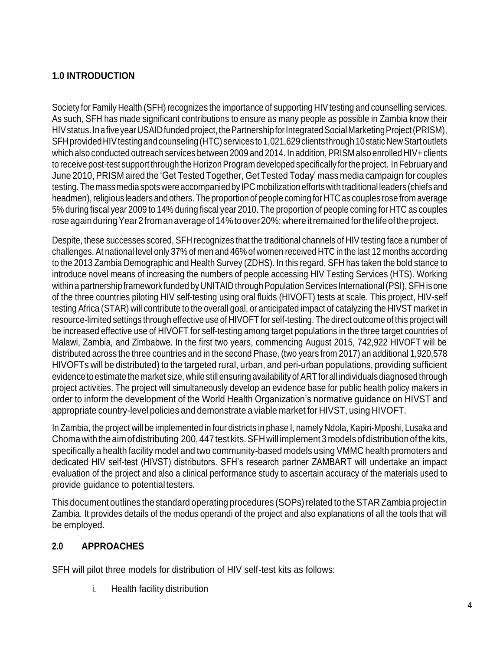## <span id="page-3-0"></span>**1.0 INTRODUCTION**

Society for Family Health (SFH) recognizes the importance of supporting HIV testing and counselling services. As such, SFH has made significant contributions to ensure as many people as possible in Zambia know their HIV status. In a five year USAID funded project, the Partnership for Integrated Social Marketing Project (PRISM), SFH provided HIV testing and counseling (HTC) services to 1,021,629 clients through 10 static New Start outlets which also conducted outreach services between 2009 and 2014. In addition, PRISM also enrolled HIV+clients to receive post-test support through the Horizon Program developed specifically for the project. In February and June 2010, PRISM aired the 'Get Tested Together, Get Tested Today' mass media campaign for couples testing. The mass media spots were accompanied by IPC mobilization efforts with traditional leaders (chiefs and headmen), religious leaders and others. The proportion of people coming for HTC as couples rose from average 5% during fiscal year 2009 to 14% during fiscal year 2010. The proportion of people coming for HTC as couples rose again during Year 2 from an average of 14% to over 20%; where it remained for the life of the project.

Despite, these successes scored, SFH recognizes that the traditional channels of HIV testing face a number of challenges. At national level only 37% of men and 46% of women received HTC in the last 12 months according to the 2013 Zambia Demographic and Health Survey (ZDHS). In this regard, SFH has taken the bold stance to introduce novel means of increasing the numbers of people accessing HIV Testing Services (HTS). Working within a partnership framework funded by UNITAID through Population Services International (PSI), SFH is one of the three countries piloting HIV self-testing using oral fluids (HIVOFT) tests at scale. This project, HIV-self testing Africa (STAR) will contribute to the overall goal, or anticipated impact of catalyzing the HIVST market in resource-limited settings through effective use of HIVOFT for self-testing. The direct outcome of this project will be increased effective use of HIVOFT for self-testing among target populations in the three target countries of Malawi, Zambia, and Zimbabwe. In the first two years, commencing August 2015, 742,922 HIVOFT will be distributed across the three countries and in the second Phase, (two years from 2017) an additional 1,920,578 HIVOFTs will be distributed) to the targeted rural, urban, and peri-urban populations, providing sufficient evidence to estimate the market size, while still ensuring availability of ART for all individuals diagnosed through project activities. The project will simultaneously develop an evidence base for public health policy makers in order to inform the development of the World Health Organization's normative guidance on HIVST and appropriate country-level policies and demonstrate a viable market for HIVST, using HIVOFT.

In Zambia, the project will be implemented in four districts in phase I, namely Ndola, Kapiri-Mposhi, Lusaka and Choma with the aim of distributing 200, 447 test kits. SFH will implement 3 models of distribution of the kits, specifically a health facility model and two community-based models using VMMC health promoters and dedicated HIV self-test (HIVST) distributors. SFH's research partner ZAMBART will undertake an impact evaluation of the project and also a clinical performance study to ascertain accuracy of the materials used to provide guidance to potential testers.

This document outlines the standard operating procedures (SOPs) related to the STAR Zambia project in Zambia. It provides details of the modus operandi of the project and also explanations of all the tools that will be employed.

## <span id="page-3-1"></span>**2.0 APPROACHES**

SFH will pilot three models for distribution of HIV self-test kits as follows:

i. Health facility distribution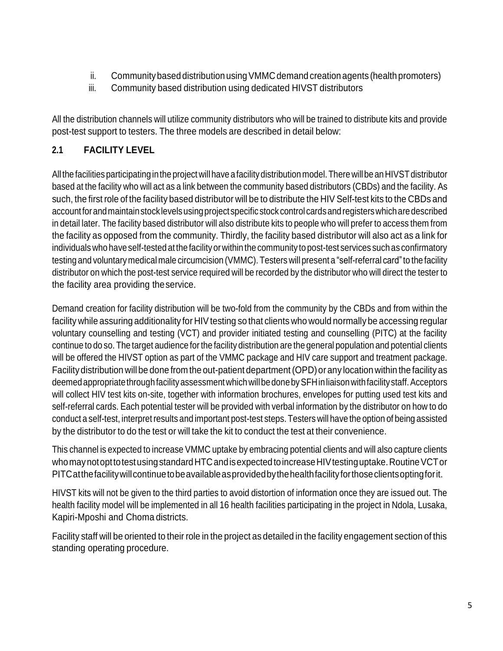- ii. Community based distribution using VMMC demand creation agents (health promoters)
- iii. Community based distribution using dedicated HIVST distributors

All the distribution channels will utilize community distributors who will be trained to distribute kits and provide post-test support to testers. The three models are described in detail below:

## <span id="page-4-0"></span>**2.1 FACILITY LEVEL**

All the facilities participating in the project will have a facility distribution model. There will be an HIVST distributor based at the facility who will act as a link between the community based distributors (CBDs) and the facility. As such, the first role of the facility based distributor will be to distribute the HIV Self-test kits to the CBDs and accountforandmaintainstocklevelsusingproject specificstock control cardsandregisterswhicharedescribed in detail later. The facility based distributor will also distribute kits to people who will prefer to access them from the facility as opposed from the community. Thirdly, the facility based distributor will also act as a link for individuals who have self-tested at the facility orwithin the community to post-test services such as confirmatory testing and voluntary medical male circumcision (VMMC). Testers will present a "self-referral card"to the facility distributor on which the post-test service required will be recorded by the distributor who will direct the tester to the facility area providing theservice.

Demand creation for facility distribution will be two-fold from the community by the CBDs and from within the facility while assuring additionality for HIV testing so that clients who would normally be accessing regular voluntary counselling and testing (VCT) and provider initiated testing and counselling (PITC) at the facility continue to do so. The target audience forthe facility distribution are the general population and potential clients will be offered the HIVST option as part of the VMMC package and HIV care support and treatment package. Facilitydistribution will be done from the out-patient department(OPD)or any location within the facility as deemed appropriate through facility assessment which will be done by SFH in liaison with facility staff. Acceptors will collect HIV test kits on-site, together with information brochures, envelopes for putting used test kits and self-referral cards. Each potential tester will be provided with verbal information by the distributor on how to do conduct a self-test, interpret results and important post-test steps. Testers will have the option of being assisted by the distributor to do the test or will take the kit to conduct the test at their convenience.

This channel is expected to increase VMMC uptake by embracing potential clients and will also capture clients who may not opt to test using standard HTC and is expected to increase HIV testing uptake. Routine VCT or PITCatthefacilitywillcontinuetobeavailableasprovidedbythehealthfacilityforthoseclientsoptingforit.

HIVST kits will not be given to the third parties to avoid distortion of information once they are issued out. The health facility model will be implemented in all 16 health facilities participating in the project in Ndola, Lusaka, Kapiri-Mposhi and Choma districts.

Facility staff will be oriented to their role in the project as detailed in the facility engagement section of this standing operating procedure.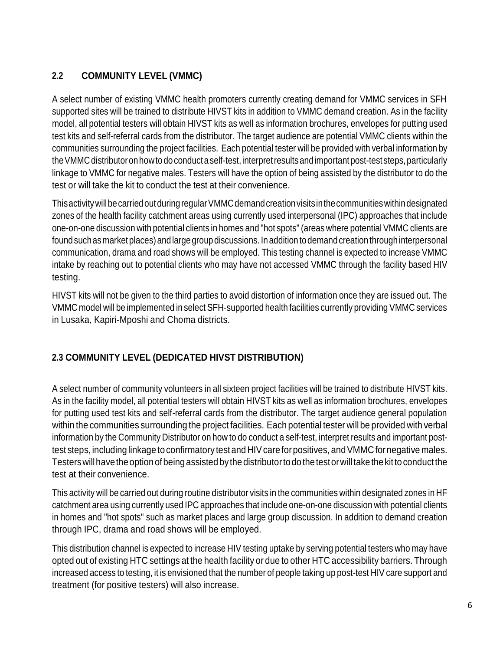## <span id="page-5-0"></span>**2.2 COMMUNITY LEVEL (VMMC)**

A select number of existing VMMC health promoters currently creating demand for VMMC services in SFH supported sites will be trained to distribute HIVST kits in addition to VMMC demand creation. As in the facility model, all potential testers will obtain HIVST kits as well as information brochures, envelopes for putting used test kits and self-referral cards from the distributor. The target audience are potential VMMC clients within the communities surrounding the project facilities. Each potential tester will be provided with verbal information by the VMMC distributor on how to do conduct a self-test, interpret results and important post-test steps, particularly linkage to VMMC for negative males. Testers will have the option of being assisted by the distributor to do the test or will take the kit to conduct the test at their convenience.

This activity will be carried out during regular VMMC demand creation visits in the communities within designated zones of the health facility catchment areas using currently used interpersonal (IPC) approaches that include one-on-one discussion with potential clients in homes and "hot spots" (areas where potential VMMC clients are found such as market places) and large group discussions. In addition to demand creation through interpersonal communication, drama and road shows will be employed. This testing channel is expected to increase VMMC intake by reaching out to potential clients who may have not accessed VMMC through the facility based HIV testing.

HIVST kits will not be given to the third parties to avoid distortion of information once they are issued out. The VMMC model will be implemented in select SFH-supported health facilities currently providing VMMC services in Lusaka, Kapiri-Mposhi and Choma districts.

## <span id="page-5-1"></span>**2.3 COMMUNITY LEVEL (DEDICATED HIVST DISTRIBUTION)**

A select number of community volunteers in all sixteen project facilities will be trained to distribute HIVST kits. As in the facility model, all potential testers will obtain HIVST kits as well as information brochures, envelopes for putting used test kits and self-referral cards from the distributor. The target audience general population within the communities surrounding the project facilities. Each potential tester will be provided with verbal information by the Community Distributor on how to do conduct a self-test, interpret results and important posttest steps, including linkage to confirmatory test and HIV care for positives, and VMMC for negative males. Testers will have the option of being assisted by the distributor to do the test or will take the kit to conduct the test at their convenience.

This activity will be carried out during routine distributor visits in the communities within designated zones in HF catchment area using currently used IPC approaches that include one-on-one discussion with potential clients in homes and "hot spots" such as market places and large group discussion. In addition to demand creation through IPC, drama and road shows will be employed.

This distribution channel is expected to increase HIV testing uptake by serving potential testers who may have opted out of existing HTC settings at the health facility or due to other HTC accessibility barriers. Through increased access to testing, it is envisioned that the number of people taking up post-test HIV care support and treatment (for positive testers) will also increase.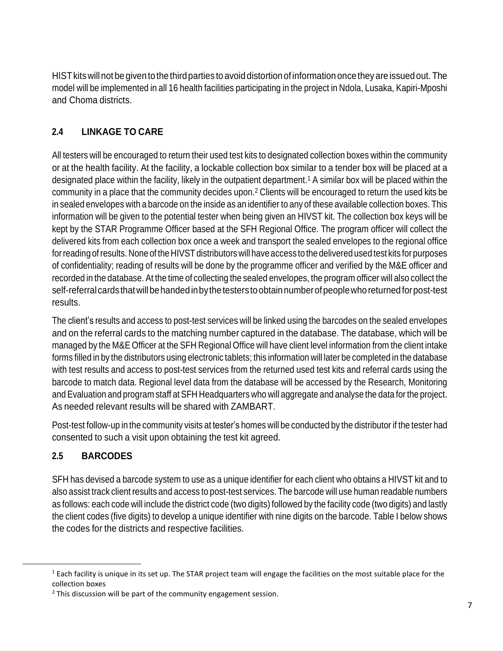HIST kits will not be given to the third parties to avoid distortion of information once they are issued out. The model will be implemented in all 16 health facilities participating in the project in Ndola, Lusaka, Kapiri-Mposhi and Choma districts.

## <span id="page-6-0"></span>**2.4 LINKAGE TO CARE**

All testers will be encouraged to return their used test kits to designated collection boxes within the community or at the health facility. At the facility, a lockable collection box similar to a tender box will be placed at a designated place within the facility, likely in the outpatient department.<sup>1</sup> A similar box will be placed within the community in a place that the community decides upon.<sup>2</sup> Clients will be encouraged to return the used kits be in sealed envelopes with a barcode on the inside as an identifier to any of these available collection boxes. This information will be given to the potential tester when being given an HIVST kit. The collection box keys will be kept by the STAR Programme Officer based at the SFH Regional Office. The program officer will collect the delivered kits from each collection box once a week and transport the sealed envelopes to the regional office for reading of results. None of the HIVST distributors will have access to the delivered used test kits for purposes of confidentiality; reading of results will be done by the programme officer and verified by the M&E officer and recorded in the database. At the time of collecting the sealed envelopes, the program officer will also collect the self-referral cards that will be handed in by the testers to obtain number of people who returned for post-test results.

The client's results and access to post-test services will be linked using the barcodes on the sealed envelopes and on the referral cards to the matching number captured in the database. The database, which will be managed by the M&E Officer at the SFH Regional Office will have client level information from the client intake forms filled in by the distributors using electronic tablets; this information will later be completed in the database with test results and access to post-test services from the returned used test kits and referral cards using the barcode to match data. Regional level data from the database will be accessed by the Research, Monitoring and Evaluation and program staff at SFH Headquarters who will aggregate and analyse the data for the project. As needed relevant results will be shared with ZAMBART.

Post-test follow-up in the community visits at tester's homes will be conducted by the distributor if the tester had consented to such a visit upon obtaining the test kit agreed.

## <span id="page-6-1"></span>**2.5 BARCODES**

SFH has devised a barcode system to use as a unique identifier for each client who obtains a HIVST kit and to also assist track client results and access to post-test services. The barcode will use human readable numbers as follows: each code will include the district code (two digits) followed by the facility code (two digits) and lastly the client codes (five digits) to develop a unique identifier with nine digits on the barcode. Table I below shows the codes for the districts and respective facilities.

 $1$  Each facility is unique in its set up. The STAR project team will engage the facilities on the most suitable place for the collection boxes

 $2$  This discussion will be part of the community engagement session.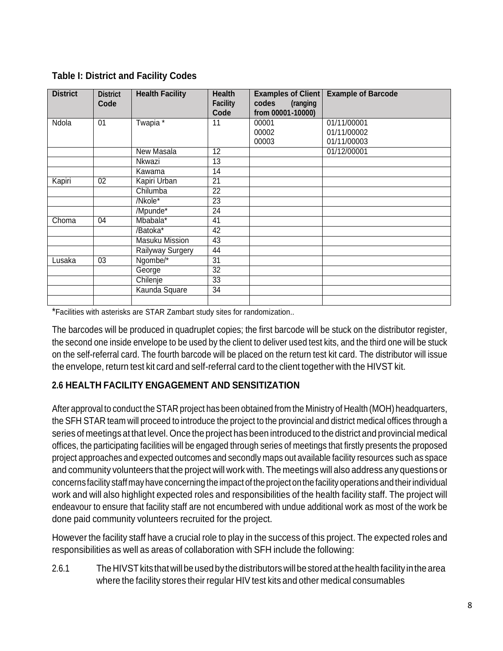| <b>District</b> | <b>District</b><br>Code | <b>Health Facility</b> | <b>Health</b><br><b>Facility</b><br>Code | <b>Examples of Client</b><br>codes<br>(ranging<br>from 00001-10000) | <b>Example of Barcode</b> |
|-----------------|-------------------------|------------------------|------------------------------------------|---------------------------------------------------------------------|---------------------------|
| Ndola           | 01                      | Twapia *               | 11                                       | 00001                                                               | 01/11/00001               |
|                 |                         |                        |                                          | 00002                                                               | 01/11/00002               |
|                 |                         |                        |                                          | 00003                                                               | 01/11/00003               |
|                 |                         | New Masala             | 12                                       |                                                                     | 01/12/00001               |
|                 |                         | Nkwazi                 | 13                                       |                                                                     |                           |
|                 |                         | Kawama                 | 14                                       |                                                                     |                           |
| Kapiri          | 02                      | Kapiri Urban           | 21                                       |                                                                     |                           |
|                 |                         | Chilumba               | 22                                       |                                                                     |                           |
|                 |                         | /Nkole*                | $\overline{23}$                          |                                                                     |                           |
|                 |                         | /Mpunde*               | 24                                       |                                                                     |                           |
| Choma           | 04                      | Mbabala <sup>*</sup>   | 41                                       |                                                                     |                           |
|                 |                         | /Batoka*               | 42                                       |                                                                     |                           |
|                 |                         | <b>Masuku Mission</b>  | 43                                       |                                                                     |                           |
|                 |                         | Railyway Surgery       | 44                                       |                                                                     |                           |
| Lusaka          | 03                      | Ngombe/*               | $\overline{31}$                          |                                                                     |                           |
|                 |                         | George                 | 32                                       |                                                                     |                           |
|                 |                         | Chilenje               | 33                                       |                                                                     |                           |
|                 |                         | Kaunda Square          | 34                                       |                                                                     |                           |
|                 |                         |                        |                                          |                                                                     |                           |

\*Facilities with asterisks are STAR Zambart study sites for randomization..

The barcodes will be produced in quadruplet copies; the first barcode will be stuck on the distributor register, the second one inside envelope to be used by the client to deliver used test kits, and the third one will be stuck on the self-referral card. The fourth barcode will be placed on the return test kit card. The distributor will issue the envelope, return test kit card and self-referral card to the client together with the HIVST kit.

## <span id="page-7-0"></span>**2.6 HEALTH FACILITY ENGAGEMENT AND SENSITIZATION**

After approval to conduct the STAR project has been obtained from the Ministry of Health (MOH) headquarters, the SFH STAR team will proceed to introduce the project to the provincial and district medical offices through a series of meetings at that level. Once the project has been introduced to the district and provincial medical offices, the participating facilities will be engaged through series of meetings that firstly presents the proposed project approaches and expected outcomes and secondly maps out available facility resources such as space and community volunteers that the project will work with. The meetings will also address any questions or concerns facility staff may have concerning the impact of the project on the facility operations and their individual work and will also highlight expected roles and responsibilities of the health facility staff. The project will endeavour to ensure that facility staff are not encumbered with undue additional work as most of the work be done paid community volunteers recruited for the project.

However the facility staff have a crucial role to play in the success of this project. The expected roles and responsibilities as well as areas of collaboration with SFH include the following:

2.6.1 The HIVST kits that will be used by the distributors will be stored at the health facility in the area where the facility stores their regular HIV test kits and other medical consumables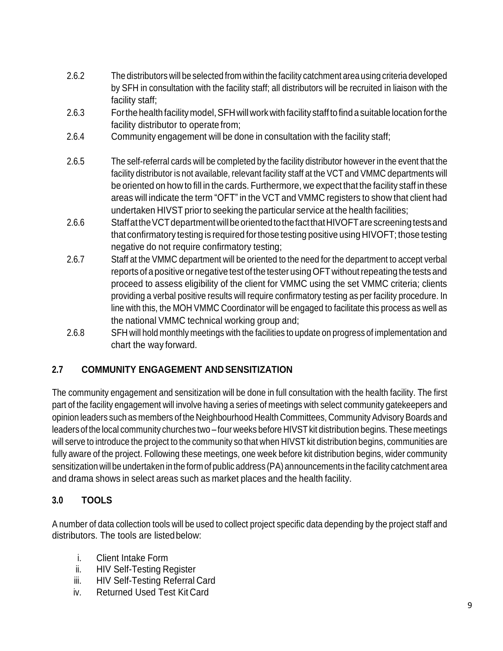- 2.6.2 The distributors will be selected from within the facility catchment area using criteria developed by SFH in consultation with the facility staff; all distributors will be recruited in liaison with the facility staff;
- 2.6.3 For the health facility model, SFH will work with facility staff to find a suitable location for the facility distributor to operate from;
- 2.6.4 Community engagement will be done in consultation with the facility staff;
- 2.6.5 The self-referral cards will be completed by the facility distributor however in the event that the facility distributor is not available, relevant facility staff at the VCT and VMMC departments will be oriented on how to fill in the cards. Furthermore, we expect that the facility staff in these areas will indicate the term "OFT" in the VCT and VMMC registers to show that client had undertaken HIVST prior to seeking the particular service at the health facilities;
- 2.6.6 StaffattheVCTdepartmentwillbeorientedtothefactthatHIVOFTarescreeningtestsand that confirmatory testing is required forthose testing positive using HIVOFT; those testing negative do not require confirmatory testing;
- 2.6.7 Staff at the VMMC department will be oriented to the need for the department to accept verbal reports of a positive or negative test of the tester using OFT without repeating the tests and proceed to assess eligibility of the client for VMMC using the set VMMC criteria; clients providing a verbal positive results will require confirmatory testing as per facility procedure. In line with this, the MOH VMMC Coordinator will be engaged to facilitate this process as well as the national VMMC technical working group and;
- 2.6.8 SFH will hold monthly meetings with the facilities to update on progress of implementation and chart the way forward.

## <span id="page-8-0"></span>**2.7 COMMUNITY ENGAGEMENT AND SENSITIZATION**

The community engagement and sensitization will be done in full consultation with the health facility. The first part of the facility engagement will involve having a series of meetings with select community gatekeepers and opinion leaders such as members of the Neighbourhood Health Committees, Community Advisory Boards and leaders of the local community churches two – four weeks before HIVST kit distribution begins. These meetings will serve to introduce the project to the community so that when HIVST kit distribution begins, communities are fully aware of the project. Following these meetings, one week before kit distribution begins, wider community sensitization will be undertaken in the form of public address (PA) announcements in the facility catchment area and drama shows in select areas such as market places and the health facility.

## <span id="page-8-1"></span>**3.0 TOOLS**

A number of data collection tools will be used to collect project specific data depending by the project staff and distributors. The tools are listedbelow:

- i. Client Intake Form
- ii. HIV Self-Testing Register
- iii. HIV Self-Testing Referral Card
- iv. Returned Used Test Kit Card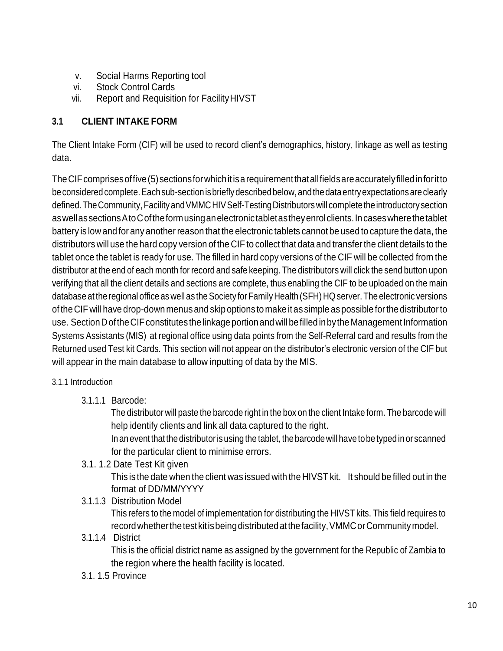- v. Social Harms Reporting tool
- vi. Stock Control Cards
- vii. Report and Requisition for FacilityHIVST

## <span id="page-9-0"></span>**3.1 CLIENT INTAKE FORM**

The Client Intake Form (CIF) will be used to record client's demographics, history, linkage as well as testing data.

TheCIFcomprisesoffive(5)sectionsforwhichitisarequirementthatallfieldsareaccuratelyfilledinforitto beconsideredcomplete.Eachsub-sectionisbrieflydescribedbelow,andthedataentryexpectationsareclearly defined. The Community, Facility and VMMC HIV Self-Testing Distributors will complete the introductory section aswellassectionsAtoCoftheformusinganelectronictabletastheyenrolclients.Incaseswherethetablet battery is low and for any another reason that the electronic tablets cannot be used to capture the data, the distributors will use the hard copy version of the CIF to collect that data and transferthe client details to the tablet once the tablet is ready for use. The filled in hard copy versions of the CIF will be collected from the distributor at the end of each month for record and safe keeping. The distributors will click the send button upon verifying that all the client details and sections are complete, thus enabling the CIF to be uploaded on the main database at the regional office as well as the Society for Family Health (SFH) HQ server. The electronic versions of the CIF will have drop-down menusand skipoptions to make itas simple aspossible forthe distributorto use. SectionDoftheCIFconstitutes thelinkageportionandwillbefilledinbythe ManagementInformation Systems Assistants (MIS) at regional office using data points from the Self-Referral card and results from the Returned used Test kit Cards. This section will not appear on the distributor's electronic version of the CIF but will appear in the main database to allow inputting of data by the MIS.

#### 3.1.1 Introduction

3.1.1.1 Barcode:

The distributor will paste the barcode right in the box on the client Intake form. The barcode will help identify clients and link all data captured to the right.

In an event that the distributor is using the tablet, the barcode will have to be typed in or scanned for the particular client to minimise errors.

3.1. 1.2 Date Test Kit given

This is the date when the client was issued with the HIVST kit. It should be filled out in the format of DD/MM/YYYY

3.1.1.3 Distribution Model

This refers to the model of implementation for distributing the HIVST kits. This field requires to recordwhetherthetest kitisbeingdistributedatthefacility,VMMCorCommunitymodel.

#### 3.1.1.4 District

This is the official district name as assigned by the government for the Republic of Zambia to the region where the health facility is located.

3.1. 1.5 Province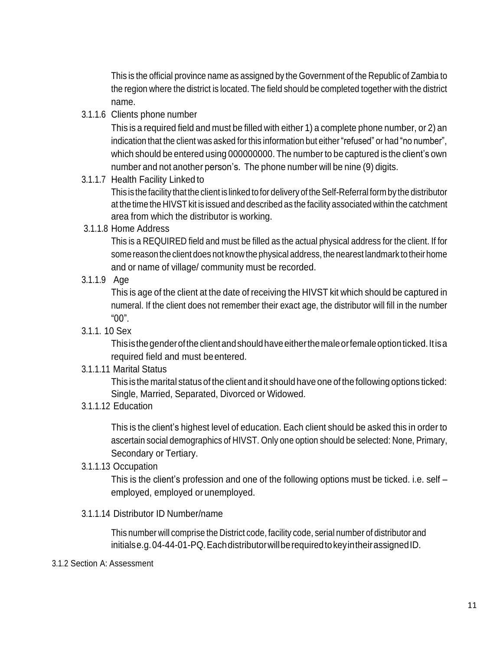This is the official province name as assigned by the Government of the Republic of Zambia to the region where the district is located. The field should be completed together with the district name.

3.1.1.6 Clients phone number

This is a required field and must be filled with either 1) a complete phone number, or 2) an indication that the client was asked for this information but either "refused" or had "no number", which should be entered using 000000000. The number to be captured is the client's own number and not another person's. The phone number will be nine (9) digits.

3.1.1.7 Health Facility Linked to

This is the facility that the client is linked to for delivery of the Self-Referral form by the distributor at the time the HIVST kit is issued and described as the facility associated within the catchment area from which the distributor is working.

3.1.1.8 Home Address

This is a REQUIRED field and must be filled as the actual physical address for the client. If for some reason the client does not know the physical address, the nearest landmark to their home and or name of village/ community must be recorded.

3.1.1.9 Age

This is age of the client at the date of receiving the HIVST kit which should be captured in numeral. If the client does not remember their exact age, the distributor will fill in the number "00".

3.1.1. 10 Sex

Thisisthegenderoftheclientandshouldhaveeitherthemaleorfemaleoptionticked.Itisa required field and must beentered.

3.1.1.11 Marital Status

This is the marital status of the client and it should have one of the following options ticked: Single, Married, Separated, Divorced or Widowed.

3.1.1.12 Education

This is the client's highest level of education. Each client should be asked this in order to ascertain social demographics of HIVST. Only one option should be selected: None, Primary, Secondary or Tertiary.

3.1.1.13 Occupation

This is the client's profession and one of the following options must be ticked. i.e. self – employed, employed or unemployed.

3.1.1.14 Distributor ID Number/name

This number will comprise the District code, facility code, serial number of distributor and initialse.g.04-44-01-PQ. Each distributor will be required to key in their assigned ID.

#### 3.1.2 Section A: Assessment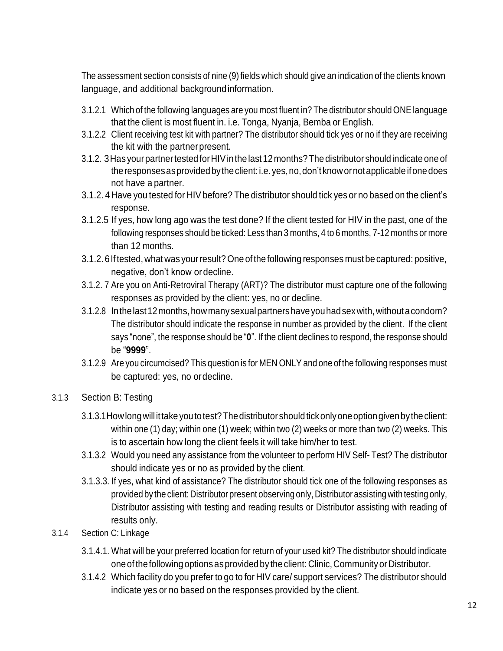The assessment section consists of nine (9) fields which should give an indication of the clients known language, and additional backgroundinformation.

- 3.1.2.1 Which of the following languages are you most fluent in? The distributor should ONE language that the client is most fluent in. i.e. Tonga, Nyanja, Bemba or English.
- 3.1.2.2 Client receiving test kit with partner? The distributor should tick yes or no if they are receiving the kit with the partner present.
- 3.1.2. 3Has yourpartnertestedforHIVinthelast12months?Thedistributor shouldindicate oneof theresponsesasprovidedbytheclient:i.e.yes,no,don'tknowornotapplicableifonedoes not have a partner.
- 3.1.2. 4 Have you tested for HIV before? The distributor should tick yes or no based on the client's response.
- 3.1.2.5 If yes, how long ago was the test done? If the client tested for HIV in the past, one of the following responses should be ticked: Less than 3 months, 4 to 6 months, 7-12 months or more than 12 months.
- 3.1.2.6Iftested, what was yourresult? One ofthe following responses must be captured: positive, negative, don't know ordecline.
- 3.1.2. 7 Are you on Anti-Retroviral Therapy (ART)? The distributor must capture one of the following responses as provided by the client: yes, no or decline.
- 3.1.2.8 In the last 12 months, how many sexual partners have you had sex with, without a condom? The distributor should indicate the response in number as provided by the client. If the client says "none", the response should be "**0**". If the client declines to respond, the response should be "**9999**".
- 3.1.2.9 Are you circumcised? This question is for MEN ONLY and one of the following responses must be captured: yes, no ordecline.
- 3.1.3 Section B: Testing
	- 3.1.3.1 How long will it take you to test? The distributor should tick only one option given by the client: within one (1) day; within one (1) week; within two (2) weeks or more than two (2) weeks. This is to ascertain how long the client feels it will take him/her to test.
	- 3.1.3.2 Would you need any assistance from the volunteer to perform HIV Self- Test? The distributor should indicate yes or no as provided by the client.
	- 3.1.3.3. If yes, what kind of assistance? The distributor should tick one of the following responses as provided by the client: Distributor present observing only, Distributor assisting with testing only, Distributor assisting with testing and reading results or Distributor assisting with reading of results only.
- 3.1.4 Section C: Linkage
	- 3.1.4.1. What will be your preferred location for return of your used kit? The distributor should indicate one of the following options as provided by the client: Clinic, Community or Distributor.
	- 3.1.4.2 Which facility do you prefer to go to for HIV care/ support services? The distributor should indicate yes or no based on the responses provided by the client.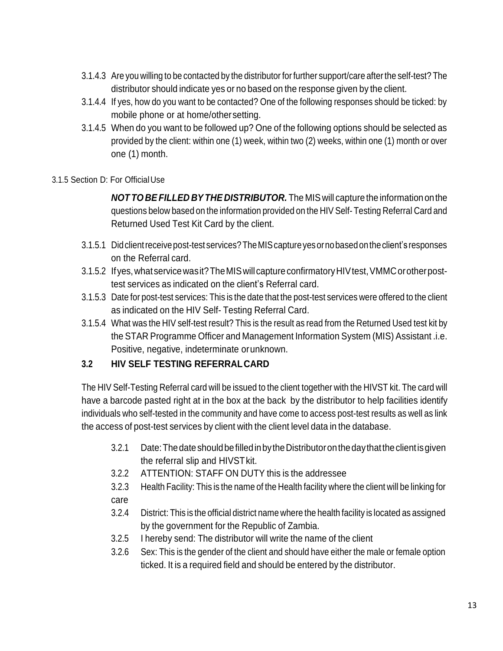- 3.1.4.3 Are you willing to be contacted by the distributor forfurther support/care afterthe self-test? The distributor should indicate yes or no based on the response given by the client.
- 3.1.4.4 If yes, how do you want to be contacted? One of the following responses should be ticked: by mobile phone or at home/othersetting.
- 3.1.4.5 When do you want to be followed up? One of the following options should be selected as provided by the client: within one (1) week, within two (2) weeks, within one (1) month or over one (1) month.

#### 3.1.5 Section D: For OfficialUse

*NOT TO BEFILLED BYTHE DISTRIBUTOR.* The MIS will capture the informationonthe questions below based on the information provided on the HIV Self- Testing Referral Card and Returned Used Test Kit Card by the client.

- 3.1.5.1 Didclientreceivepost-test services?TheMIScaptureyesornobasedontheclient's responses on the Referral card.
- 3.1.5.2 If yes, what service was it? The MIS will capture confirmatory HIV test, VMMC or other posttest services as indicated on the client's Referral card.
- 3.1.5.3 Date for post-test services: This is the date that the post-test services were offered to the client as indicated on the HIV Self- Testing Referral Card.
- 3.1.5.4 What was the HIV self-test result? This is the result as read from the Returned Used test kit by the STAR Programme Officer and Management Information System (MIS) Assistant .i.e. Positive, negative, indeterminate orunknown.

#### <span id="page-12-0"></span>**3.2 HIV SELF TESTING REFERRALCARD**

The HIV Self-Testing Referral card will be issued to the client together with the HIVST kit. The card will have a barcode pasted right at in the box at the back by the distributor to help facilities identify individuals who self-tested in the community and have come to access post-test results as well as link the access of post-test services by client with the client level data in the database.

- 3.2.1 Date:ThedateshouldbefilledinbytheDistributoronthedaythattheclientisgiven the referral slip and HIVSTkit.
- 3.2.2 ATTENTION: STAFF ON DUTY this is the addressee
- 3.2.3 Health Facility: This is the name of the Health facility where the client will be linking for care
- 3.2.4 District: This is the official district name where the health facility is located as assigned by the government for the Republic of Zambia.
- 3.2.5 I hereby send: The distributor will write the name of the client
- 3.2.6 Sex: This is the gender of the client and should have either the male or female option ticked. It is a required field and should be entered by the distributor.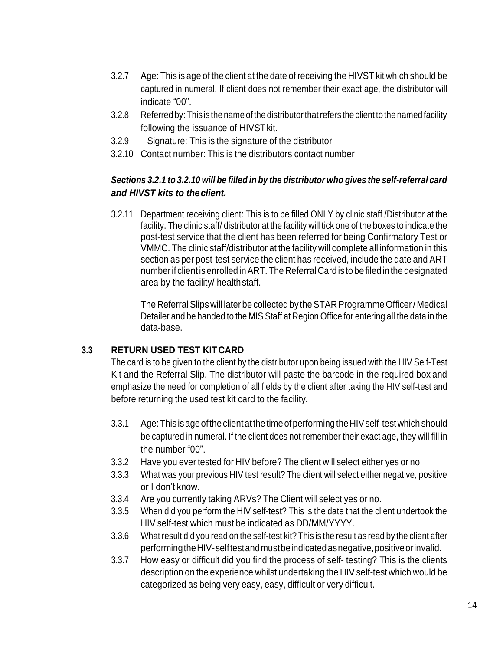- 3.2.7 Age: This is age of the client at the date of receiving the HIVST kit which should be captured in numeral. If client does not remember their exact age, the distributor will indicate "00".
- 3.2.8 Referred by:This is the name of the distributorthatrefers the client to the named facility following the issuance of HIVST kit.
- 3.2.9 Signature: This is the signature of the distributor
- 3.2.10 Contact number: This is the distributors contact number

### *Sections 3.2.1 to 3.2.10 will be filled in by the distributor who gives the self-referral card and HIVST kits to theclient.*

3.2.11 Department receiving client: This is to be filled ONLY by clinic staff /Distributor at the facility. The clinic staff/ distributor at the facility will tick one of the boxes to indicate the post-test service that the client has been referred for being Confirmatory Test or VMMC. The clinic staff/distributor at the facility will complete all information in this section as per post-test service the client has received, include the date and ART numberif clientisenrolledinART.The Referral Card is to be filedinthe designated area by the facility/ healthstaff.

The Referral Slips will later be collected by the STAR Programme Officer/Medical Detailer and be handed to the MIS Staff at Region Office for entering all the data in the data-base.

#### **3.3 RETURN USED TEST KIT CARD**

The card is to be given to the client by the distributor upon being issued with the HIV Self-Test Kit and the Referral Slip. The distributor will paste the barcode in the required box and emphasize the need for completion of all fields by the client after taking the HIV self-test and before returning the used test kit card to the facility**.**

- 3.3.1 Age:This isageofthe clientatthetimeofperforming theHIVself-test which should be captured in numeral. If the client does not remember their exact age, they will fill in the number "00".
- 3.3.2 Have you ever tested for HIV before? The client will select either yes or no
- 3.3.3 What was your previous HIV test result? The client will select either negative, positive or I don't know.
- 3.3.4 Are you currently taking ARVs? The Client will select yes or no.
- 3.3.5 When did you perform the HIV self-test? This is the date that the client undertook the HIV self-test which must be indicated as DD/MM/YYYY.
- 3.3.6 What result did you read on the self-test kit? This is the result as read by the client after performingtheHIV-selftestandmustbeindicatedasnegative,positiveorinvalid.
- 3.3.7 How easy or difficult did you find the process of self- testing? This is the clients description on the experience whilst undertaking the HIV self-test which would be categorized as being very easy, easy, difficult or very difficult.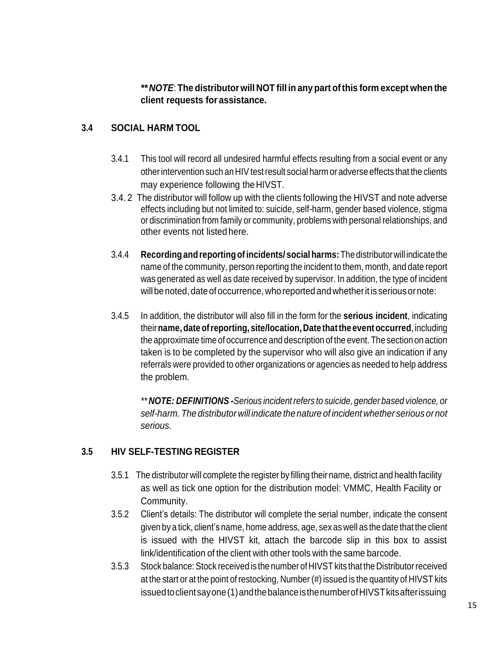*\*\* NOTE*: **The distributorwill NOT fill in any part ofthis form except when the client requests for assistance.**

#### <span id="page-14-0"></span>**3.4 SOCIAL HARM TOOL**

- 3.4.1 This tool will record all undesired harmful effects resulting from a social event or any otherintervention such an HIV testresult social harm or adverse effects that the clients may experience following theHIVST.
- 3.4. 2 The distributor will follow up with the clients following the HIVST and note adverse effects including but not limited to: suicide, self-harm, gender based violence, stigma or discrimination from family or community, problems with personal relationships, and other events not listed here.
- 3.4.4 **Recording andreportingofincidents/ social harms:**Thedistributorwill indicatethe name of the community, person reporting the incident to them, month, and date report was generated as well as date received by supervisor. In addition, the type of incident will be noted, date of occurrence, who reported and whether it is serious or note:
- 3.4.5 In addition, the distributor will also fill in the form for the **serious incident**, indicating their**name,dateofreporting, site/location, Date thatthe eventoccurred**,including the approximate time of occurrence and description of the event. The section on action taken is to be completed by the supervisor who will also give an indication if any referrals were provided to other organizations or agencies as needed to help address the problem.

*\*\* NOTE: DEFINITIONS -Serious incident refers to suicide, gender based violence, or self-harm. The distributor will indicate the nature of incident whether serious or not serious.*

#### <span id="page-14-1"></span>**3.5 HIV SELF-TESTING REGISTER**

- 3.5.1 The distributor will complete the register by filling their name, district and health facility as well as tick one option for the distribution model: VMMC, Health Facility or Community.
- 3.5.2 Client's details: The distributor will complete the serial number, indicate the consent given by a tick, client's name, home address, age, sex as well as the date that the client is issued with the HIVST kit, attach the barcode slip in this box to assist link/identification of the client with other tools with the same barcode.
- 3.5.3 Stock balance: Stock received is the number of HIVST kits that the Distributorreceived at the start or at the point of restocking, Number (#) issued is the quantity of HIVST kits issued to client sayone (1) and the balance is the number of HIVST kits after issuing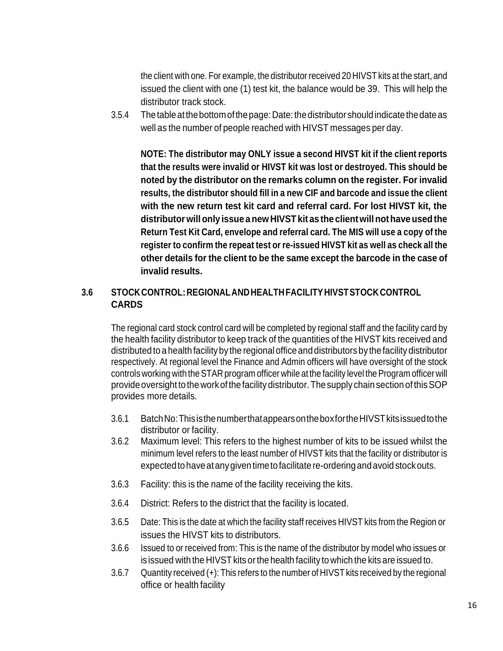the client with one. For example, the distributor received 20 HIVST kits at the start, and issued the client with one (1) test kit, the balance would be 39. This will help the distributor track stock.

3.5.4 Thetableatthebottomofthepage:Date:thedistributor shouldindicate thedateas well as the number of people reached with HIVST messages per day.

**NOTE: The distributor may ONLY issue a second HIVST kit if the client reports that the results were invalid or HIVST kit was lost or destroyed. This should be noted by the distributor on the remarks column on the register. For invalid results, the distributor should fill in a new CIF and barcode and issue the client with the new return test kit card and referral card. For lost HIVST kit, the distributor willonly issue anewHIVST kit as the clientwillnothave usedthe Return Test Kit Card, envelope and referral card. The MIS will use a copy of the register to confirm the repeat test or re-issued HIVST kit as well as check all the other details for the client to be the same except the barcode in the case of invalid results.**

#### <span id="page-15-0"></span>**3.6 STOCKCONTROL:REGIONALANDHEALTHFACILITYHIVSTSTOCKCONTROL CARDS**

The regional card stock control card will be completed by regional staff and the facility card by the health facility distributor to keep track of the quantities of the HIVST kits received and distributed to a health facility by the regional office and distributors by the facility distributor respectively. At regional level the Finance and Admin officers will have oversight of the stock controls working with the STAR program officer while at the facility level the Program officer will provide oversight to the work of the facility distributor. The supply chain section of this SOP provides more details.

- 3.6.1 BatchNo:ThisisthenumberthatappearsontheboxfortheHIVSTkitsissuedtothe distributor or facility.
- 3.6.2 Maximum level: This refers to the highest number of kits to be issued whilst the minimum level refers to the least number of HIVST kits that the facility or distributor is expected to have at any given time to facilitate re-ordering and avoid stock outs.
- 3.6.3 Facility: this is the name of the facility receiving the kits.
- 3.6.4 District: Refers to the district that the facility is located.
- 3.6.5 Date: This is the date at which the facility staff receives HIVST kits from the Region or issues the HIVST kits to distributors.
- 3.6.6 Issued to or received from: This is the name of the distributor by model who issues or is issued with the HIVST kits or the health facility to which the kits are issued to.
- 3.6.7 Quantity received (+): This refers to the number of HIVST kits received by the regional office or health facility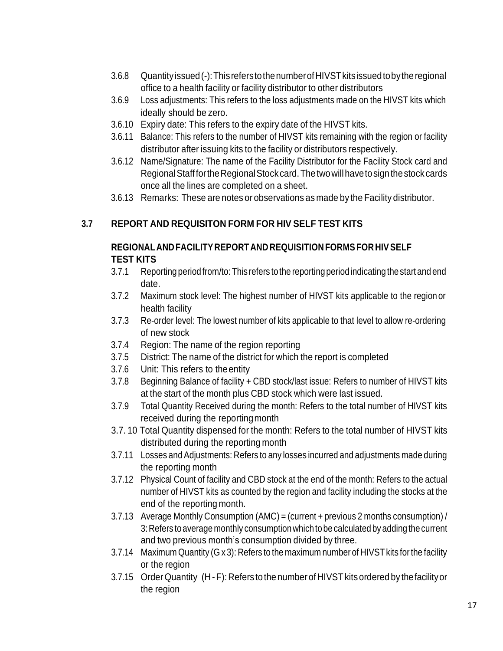- 3.6.8 Quantityissued(-):ThisreferstothenumberofHIVSTkitsissuedtobytheregional office to a health facility or facility distributor to other distributors
- 3.6.9 Loss adjustments: This refers to the loss adjustments made on the HIVST kits which ideally should be zero.
- 3.6.10 Expiry date: This refers to the expiry date of the HIVST kits.
- 3.6.11 Balance: This refers to the number of HIVST kits remaining with the region or facility distributor after issuing kits to the facility or distributors respectively.
- 3.6.12 Name/Signature: The name of the Facility Distributor for the Facility Stock card and Regional Stafffor the Regional Stock card. The two will have to sign the stock cards once all the lines are completed on a sheet.
- 3.6.13 Remarks: These are notes or observations as made by the Facility distributor.

#### <span id="page-16-0"></span>**3.7 REPORT AND REQUISITON FORM FOR HIV SELF TEST KITS**

#### **REGIONAL AND FACILITYREPORT AND REQUISITION FORMSFORHIVSELF TEST KITS**

- 3.7.1 Reporting periodfrom/to:This refers tothe reportingperiodindicating the start and end date.
- 3.7.2 Maximum stock level: The highest number of HIVST kits applicable to the region or health facility
- 3.7.3 Re-order level: The lowest number of kits applicable to that level to allow re-ordering of new stock
- 3.7.4 Region: The name of the region reporting
- 3.7.5 District: The name of the district for which the report is completed
- 3.7.6 Unit: This refers to theentity
- 3.7.8 Beginning Balance of facility + CBD stock/last issue: Refers to number of HIVST kits at the start of the month plus CBD stock which were last issued.
- 3.7.9 Total Quantity Received during the month: Refers to the total number of HIVST kits received during the reportingmonth
- 3.7. 10 Total Quantity dispensed for the month: Refers to the total number of HIVST kits distributed during the reporting month
- 3.7.11 Losses and Adjustments: Refers to any losses incurred and adjustments made during the reporting month
- 3.7.12 Physical Count of facility and CBD stock at the end of the month: Refers to the actual number of HIVST kits as counted by the region and facility including the stocks at the end of the reporting month.
- 3.7.13 Average Monthly Consumption (AMC) = (current + previous 2 months consumption) / 3: Refers to average monthly consumption which to be calculated by adding the current and two previous month's consumption divided by three.
- 3.7.14 Maximum Quantity (G x 3): Refers to the maximum number of HIVST kits for the facility or the region
- 3.7.15 OrderQuantity (H -F): Refers to the numberof HIVSTkitsordered by thefacilityor the region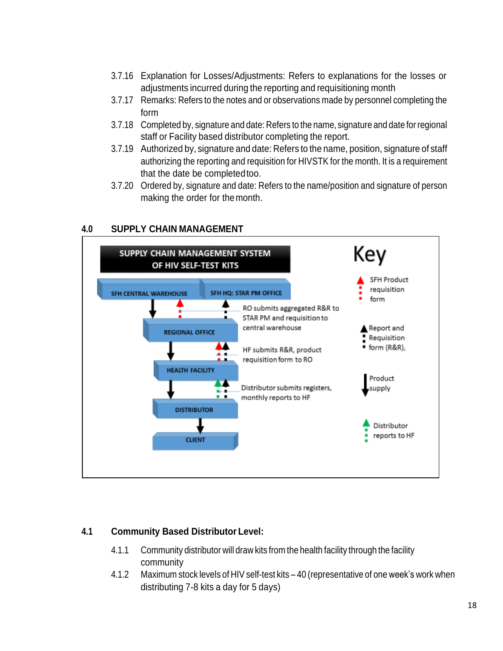- 3.7.16 Explanation for Losses/Adjustments: Refers to explanations for the losses or adjustments incurred during the reporting and requisitioning month
- 3.7.17 Remarks: Refers to the notes and or observations made by personnel completing the form
- 3.7.18 Completed by, signature and date: Refers to the name, signature and date for regional staff or Facility based distributor completing the report.
- 3.7.19 Authorized by, signature and date: Refers to the name, position, signature of staff authorizing the reporting and requisition for HIVSTK for the month. It is a requirement that the date be completedtoo.
- 3.7.20 Ordered by, signature and date: Refers to the name/position and signature of person making the order for themonth.

#### <span id="page-17-0"></span>**4.0 SUPPLY CHAIN MANAGEMENT**



#### **4.1 Community Based Distributor Level:**

- 4.1.1 Community distributor will draw kits from the health facility through the facility community
- 4.1.2 Maximum stock levels of HIV self-test kits 40 (representative of one week's work when distributing 7-8 kits a day for 5 days)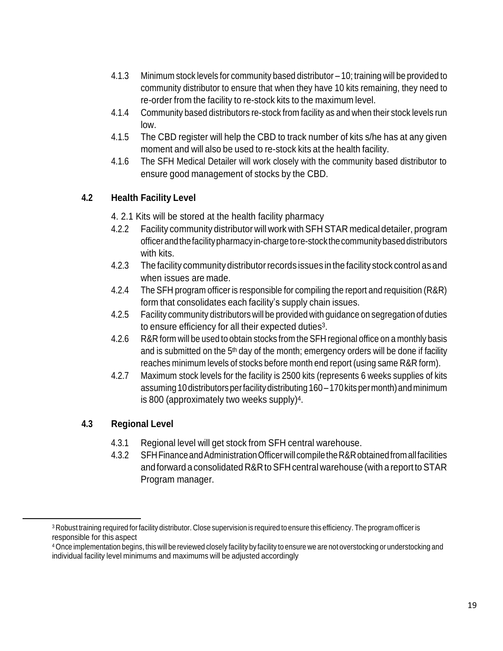- 4.1.3 Minimum stock levels for community based distributor 10; training will be provided to community distributor to ensure that when they have 10 kits remaining, they need to re-order from the facility to re-stock kits to the maximum level.
- 4.1.4 Community based distributors re-stock from facility as and when their stock levels run low.
- 4.1.5 The CBD register will help the CBD to track number of kits s/he has at any given moment and will also be used to re-stock kits at the health facility.
- 4.1.6 The SFH Medical Detailer will work closely with the community based distributor to ensure good management of stocks by the CBD.

## **4.2 Health Facility Level**

- 4. 2.1 Kits will be stored at the health facility pharmacy
- 4.2.2 Facility community distributor will work with SFH STAR medical detailer, program officerandthefacilitypharmacyin-chargetore-stockthecommunitybased distributors with kits.
- 4.2.3 The facility community distributorrecords issues in the facility stock control as and when issues are made.
- 4.2.4 The SFH program officer is responsible for compiling the report and requisition (R&R) form that consolidates each facility's supply chain issues.
- 4.2.5 Facility community distributors will be provided with guidance on segregation of duties to ensure efficiency for all their expected duties<sup>3</sup>.
- 4.2.6 R&R form will be used to obtain stocks from the SFH regional office on a monthly basis and is submitted on the  $5<sup>th</sup>$  day of the month; emergency orders will be done if facility reaches minimum levels of stocks before month end report (using same R&R form).
- 4.2.7 Maximum stock levels for the facility is 2500 kits (represents 6 weeks supplies of kits assuming 10 distributors perfacility distributing 160 – 170 kits per month) and minimum is 800 (approximately two weeks supply)<sup>4</sup>.

## **4.3 Regional Level**

- 4.3.1 Regional level will get stock from SFH central warehouse.
- 4.3.2 SFHFinanceandAdministrationOfficerwillcompiletheR&Robtainedfromallfacilities and forward a consolidated R&RtoSFH central warehouse (with a report toSTAR Program manager.

<sup>&</sup>lt;sup>3</sup> Robust training required for facility distributor. Close supervision is required to ensure this efficiency. The program officer is responsible for this aspect

<sup>4</sup> Once implementation begins, this will be reviewed closely facility by facility to ensure we are not overstocking or understocking and individual facility level minimums and maximums will be adjusted accordingly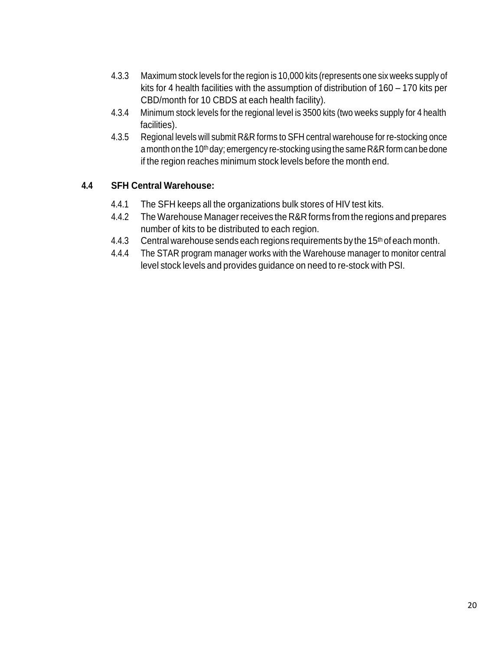- 4.3.3 Maximum stock levels for the region is 10,000 kits (represents one six weeks supply of kits for 4 health facilities with the assumption of distribution of 160 – 170 kits per CBD/month for 10 CBDS at each health facility).
- 4.3.4 Minimum stock levels for the regional level is 3500 kits (two weeks supply for 4 health facilities).
- 4.3.5 Regional levels will submit R&R forms to SFH central warehouse for re-stocking once a month on the 10<sup>th</sup> day; emergency re-stocking using the same R&R form can be done if the region reaches minimum stock levels before the month end.

#### **4.4 SFH Central Warehouse:**

- 4.4.1 The SFH keeps all the organizations bulk stores of HIV test kits.
- 4.4.2 The Warehouse Manager receives the R&R forms from the regions and prepares number of kits to be distributed to each region.
- 4.4.3 Central warehouse sends each regions requirements by the 15<sup>th</sup> of each month.
- 4.4.4 The STAR program manager works with the Warehouse manager to monitor central level stock levels and provides guidance on need to re-stock with PSI.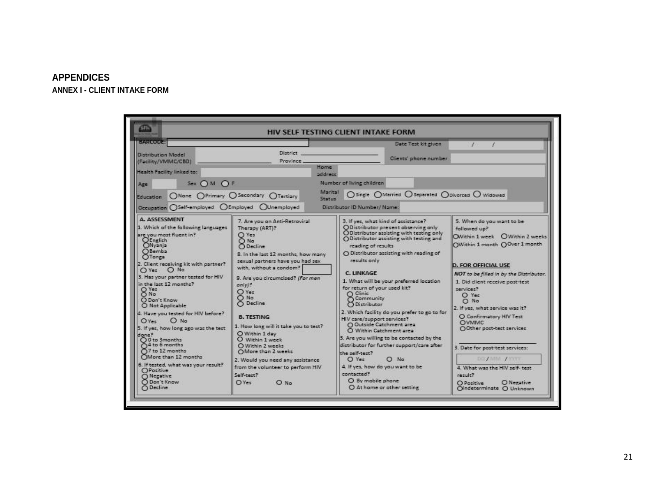#### **APPENDICES**

<span id="page-20-1"></span><span id="page-20-0"></span>**ANNEX I - CLIENT INTAKE FORM**

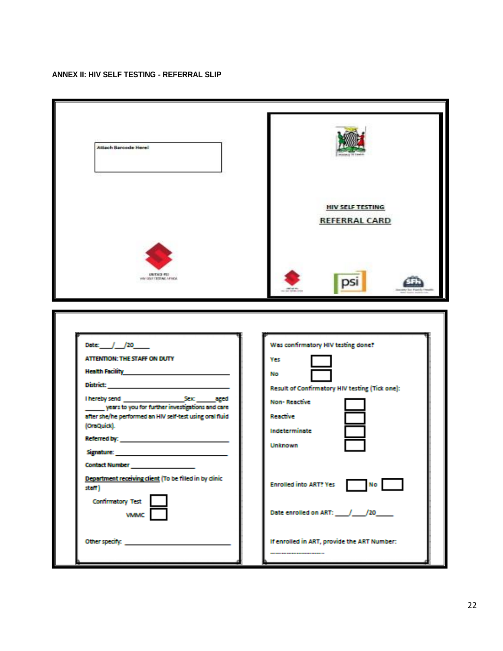#### <span id="page-21-0"></span>**ANNEX II: HIV SELF TESTING - REFERRAL SLIP**

| <b>Attach Barcode Here!</b>                                                                                                                                                                                                                                                                                                                                                                                               |                                                                                                                                                                                                                                                 |
|---------------------------------------------------------------------------------------------------------------------------------------------------------------------------------------------------------------------------------------------------------------------------------------------------------------------------------------------------------------------------------------------------------------------------|-------------------------------------------------------------------------------------------------------------------------------------------------------------------------------------------------------------------------------------------------|
|                                                                                                                                                                                                                                                                                                                                                                                                                           | <b>HIV SELF TESTING</b><br><b>REFERRAL CARD</b>                                                                                                                                                                                                 |
| UNITABLY PITE<br>WAS SIZE TO STAKE AFTER A                                                                                                                                                                                                                                                                                                                                                                                |                                                                                                                                                                                                                                                 |
| Date: / / / 20___<br>ATTENTION: THE STAFF ON DUTY<br>Health Facility <b>All According to the American Street According to the According Control</b><br>years to you for further investigations and care<br>after she/he performed an HIV self-test using oral fluid<br>(OraQuick).<br><b>Contact Number</b><br>Department receiving client (To be filled in by dinic<br>staff)<br><b>Confirmatory Test</b><br><b>VMMC</b> | Was confirmatory HIV testing done?<br>Yes<br>No<br>Result of Confirmatory HIV testing (Tick one):<br><b>Non-Reactive</b><br>Reactive<br>Indeterminate<br><b>Unknown</b><br><b>Enrolled into ART? Yes</b><br>No<br>Date enrolled on ART: / / /20 |
| Other specify:                                                                                                                                                                                                                                                                                                                                                                                                            | If enrolled in ART, provide the ART Number:                                                                                                                                                                                                     |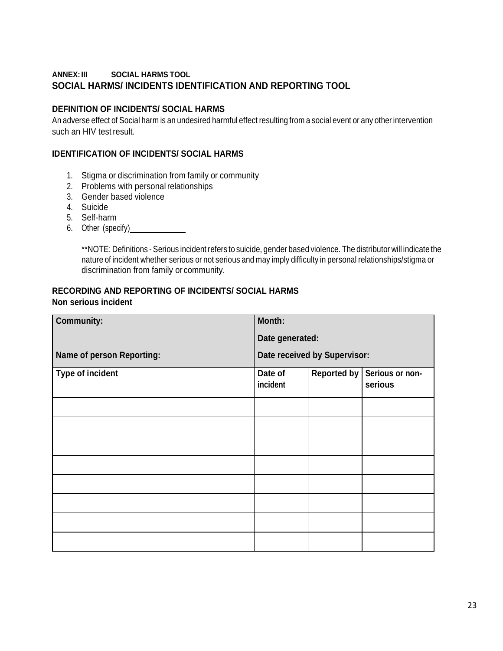#### <span id="page-22-0"></span>**ANNEX:III SOCIAL HARMS TOOL SOCIAL HARMS/ INCIDENTS IDENTIFICATION AND REPORTING TOOL**

#### **DEFINITION OF INCIDENTS/ SOCIAL HARMS**

An adverse effect of Social harm is an undesired harmful effect resulting from a social event or any other intervention such an HIV test result.

#### **IDENTIFICATION OF INCIDENTS/ SOCIAL HARMS**

- 1. Stigma or discrimination from family or community
- 2. Problems with personal relationships
- 3. Gender based violence
- 4. Suicide
- 5. Self-harm
- 6. Other (specify)

\*\*NOTE: Definitions - Serious incident refers to suicide, gender based violence. The distributor will indicate the nature of incident whether serious or not serious and may imply difficulty in personal relationships/stigma or discrimination from family or community.

#### **RECORDING AND REPORTING OF INCIDENTS/ SOCIAL HARMS Non serious incident**

| <b>Community:</b>         | Month:              |                              |                            |
|---------------------------|---------------------|------------------------------|----------------------------|
|                           | Date generated:     |                              |                            |
| Name of person Reporting: |                     | Date received by Supervisor: |                            |
| Type of incident          | Date of<br>incident | <b>Reported by</b>           | Serious or non-<br>serious |
|                           |                     |                              |                            |
|                           |                     |                              |                            |
|                           |                     |                              |                            |
|                           |                     |                              |                            |
|                           |                     |                              |                            |
|                           |                     |                              |                            |
|                           |                     |                              |                            |
|                           |                     |                              |                            |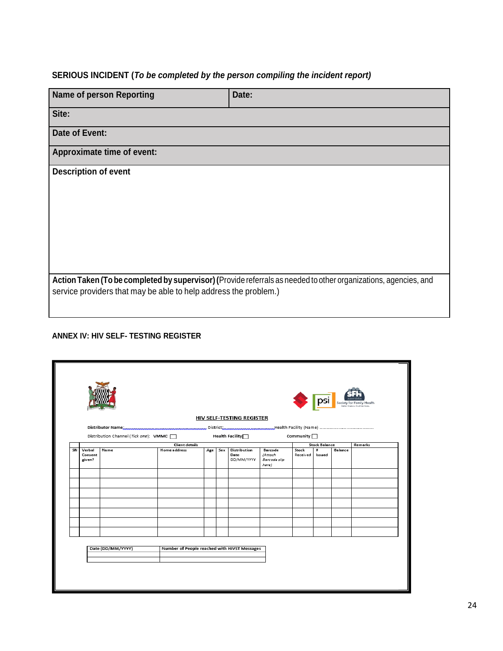## **SERIOUS INCIDENT (***To be completed by the person compiling the incident report)*

| <b>Name of person Reporting</b>                                  | Date:                                                                                                           |
|------------------------------------------------------------------|-----------------------------------------------------------------------------------------------------------------|
|                                                                  |                                                                                                                 |
| Site:                                                            |                                                                                                                 |
| Date of Event:                                                   |                                                                                                                 |
| Approximate time of event:                                       |                                                                                                                 |
| <b>Description of event</b>                                      |                                                                                                                 |
|                                                                  |                                                                                                                 |
|                                                                  |                                                                                                                 |
|                                                                  |                                                                                                                 |
|                                                                  |                                                                                                                 |
|                                                                  |                                                                                                                 |
|                                                                  |                                                                                                                 |
|                                                                  |                                                                                                                 |
| service providers that may be able to help address the problem.) | Action Taken (To be completed by supervisor) (Provide referrals as needed to other organizations, agencies, and |
|                                                                  |                                                                                                                 |

#### <span id="page-23-0"></span>**ANNEX IV: HIV SELF- TESTING REGISTER**

|    |                             |                                       |                       |                                              |  |                                        |                                                    |                          |                      |                | psi seaty factory thath |
|----|-----------------------------|---------------------------------------|-----------------------|----------------------------------------------|--|----------------------------------------|----------------------------------------------------|--------------------------|----------------------|----------------|-------------------------|
|    |                             |                                       |                       |                                              |  | <b>HIV SELF-TESTING REGISTER</b>       |                                                    |                          |                      |                |                         |
|    |                             |                                       |                       |                                              |  |                                        |                                                    |                          |                      |                |                         |
|    |                             | Distribution Channel (Tick one): VMMC |                       |                                              |  | Health Facility <sup></sup>            |                                                    | Community <sup>[1]</sup> |                      |                |                         |
|    |                             |                                       | <b>Client details</b> |                                              |  |                                        |                                                    |                          | <b>Stock Balance</b> |                | Remarks                 |
| SN | Verbal<br>Consent<br>given? | Name                                  | Home address          | Age                                          |  | Sex Distribution<br>Date<br>DD/MM/YYYY | Barcode<br><b>(Attach</b><br>Barcode slip<br>here) | Stock<br>Received        | $\ddot{ }$<br>Issued | <b>Balance</b> |                         |
|    |                             |                                       |                       |                                              |  |                                        |                                                    |                          |                      |                |                         |
|    |                             |                                       |                       |                                              |  |                                        |                                                    |                          |                      |                |                         |
|    |                             |                                       |                       |                                              |  |                                        |                                                    |                          |                      |                |                         |
|    |                             |                                       |                       |                                              |  |                                        |                                                    |                          |                      |                |                         |
|    |                             | Date (DD/MM/YYYY)                     |                       | Number of People reached with HIVST Messages |  |                                        |                                                    |                          |                      |                |                         |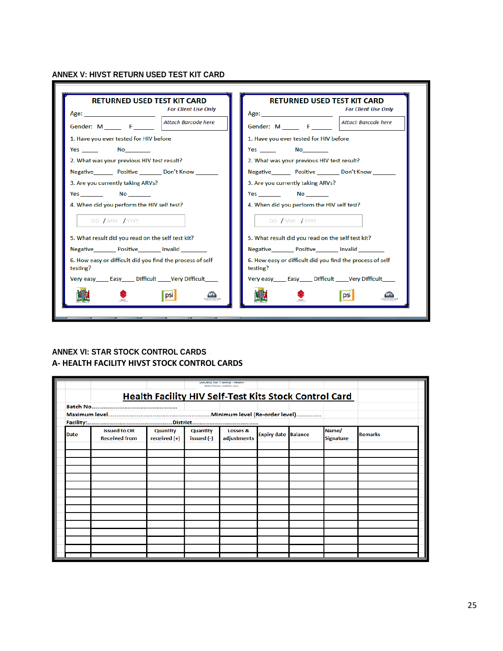#### <span id="page-24-0"></span>**ANNEX V: HIVST RETURN USED TEST KIT CARD**

| <b>For Client Use Only</b><br>Attach Barcode here                     | <b>For Client Use Only</b><br>Age:<br>Attach Barcode here<br>Gender: $M \_ F \_ F$<br>1. Have you ever tested for HIV before<br>Yes No<br>2. What was your previous HIV test result? |
|-----------------------------------------------------------------------|--------------------------------------------------------------------------------------------------------------------------------------------------------------------------------------|
|                                                                       | Negative Positive Don't Know                                                                                                                                                         |
| 1. Have you ever tested for HIV before                                |                                                                                                                                                                                      |
| Yes No                                                                |                                                                                                                                                                                      |
| 2. What was your previous HIV test result?                            |                                                                                                                                                                                      |
| Negative Positive Don't Know                                          |                                                                                                                                                                                      |
| 3. Are you currently taking ARVs?                                     |                                                                                                                                                                                      |
|                                                                       | 3. Are you currently taking ARVs?                                                                                                                                                    |
| <b>Yes</b> No                                                         |                                                                                                                                                                                      |
| 4. When did you perform the HIV self test?                            | 4. When did you perform the HIV self test?                                                                                                                                           |
| DD / MM / YYYY                                                        | DD / MM / YYYY                                                                                                                                                                       |
| 5. What result did you read on the self test kit?                     | 5. What result did you read on the self test kit?                                                                                                                                    |
| Negative Positive Invalid                                             | Negative Positive Invalid                                                                                                                                                            |
| 6. How easy or difficult did you find the process of self<br>testing? | 6. How easy or difficult did you find the process of self<br>testing?                                                                                                                |
| Very easy Easy Difficult Very Difficult                               | Very easy Easy Difficult Very Difficult                                                                                                                                              |
| $ $ psi                                                               | psi                                                                                                                                                                                  |

#### <span id="page-24-1"></span>**ANNEX VI: STAR STOCK CONTROL CARDS A- HEALTH FACILITY HIVST STOCK CONTROL CARDS**

|             |                                             |                                                              |                               | <b>JULIER TOF TURNITY FIGURE</b><br>Better Choices, Healthier Lives |                            |  |                           |                |  |
|-------------|---------------------------------------------|--------------------------------------------------------------|-------------------------------|---------------------------------------------------------------------|----------------------------|--|---------------------------|----------------|--|
|             |                                             | <b>Health Facility HIV Self-Test Kits Stock Control Card</b> |                               |                                                                     |                            |  |                           |                |  |
|             |                                             |                                                              |                               |                                                                     |                            |  |                           |                |  |
|             |                                             |                                                              |                               |                                                                     |                            |  |                           |                |  |
|             |                                             |                                                              |                               |                                                                     |                            |  |                           |                |  |
| <b>Date</b> | <b>Issued to OR</b><br><b>Received from</b> | <b>Quantity</b><br>received (+)                              | <b>Quantity</b><br>issued (-) | Losses &<br>adjustments                                             | <b>Expiry date Balance</b> |  | Name/<br><b>Signature</b> | <b>Remarks</b> |  |
|             |                                             |                                                              |                               |                                                                     |                            |  |                           |                |  |
|             |                                             |                                                              |                               |                                                                     |                            |  |                           |                |  |
|             |                                             |                                                              |                               |                                                                     |                            |  |                           |                |  |
|             |                                             |                                                              |                               |                                                                     |                            |  |                           |                |  |
|             |                                             |                                                              |                               |                                                                     |                            |  |                           |                |  |
|             |                                             |                                                              |                               |                                                                     |                            |  |                           |                |  |
|             |                                             |                                                              |                               |                                                                     |                            |  |                           |                |  |
|             |                                             |                                                              |                               |                                                                     |                            |  |                           |                |  |
|             |                                             |                                                              |                               |                                                                     |                            |  |                           |                |  |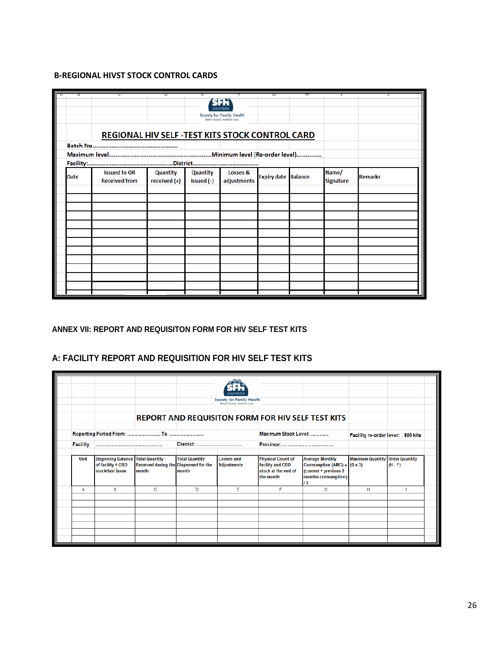#### **B-REGIONAL HIVST STOCK CONTROL CARDS**

|             |                                                  |                                   |                               | Society for Family Health          |                            |                           |                |
|-------------|--------------------------------------------------|-----------------------------------|-------------------------------|------------------------------------|----------------------------|---------------------------|----------------|
|             |                                                  |                                   |                               | Better Choices, Healthier Lives    |                            |                           |                |
|             | REGIONAL HIV SELF - TEST KITS STOCK CONTROL CARD |                                   |                               |                                    |                            |                           |                |
|             |                                                  |                                   |                               |                                    |                            |                           |                |
|             |                                                  |                                   |                               |                                    |                            |                           |                |
|             |                                                  |                                   |                               |                                    |                            |                           |                |
| <b>Date</b> | <b>Issued to OR</b><br><b>Received from</b>      | <b>Quantity</b><br>received $(+)$ | <b>Quantity</b><br>issued (-) | <b>Losses &amp;</b><br>adjustments | <b>Expiry date Balance</b> | Name/<br><b>Signature</b> | <b>Remarks</b> |
|             |                                                  |                                   |                               |                                    |                            |                           |                |
|             |                                                  |                                   |                               |                                    |                            |                           |                |
|             |                                                  |                                   |                               |                                    |                            |                           |                |
|             |                                                  |                                   |                               |                                    |                            |                           |                |
|             |                                                  |                                   |                               |                                    |                            |                           |                |
|             |                                                  |                                   |                               |                                    |                            |                           |                |
|             |                                                  |                                   |                               |                                    |                            |                           |                |
|             |                                                  |                                   |                               |                                    |                            |                           |                |
|             |                                                  |                                   |                               |                                    |                            |                           |                |
|             |                                                  |                                   |                               |                                    |                            |                           |                |
|             |                                                  |                                   |                               |                                    |                            |                           |                |
|             |                                                  |                                   |                               |                                    |                            |                           |                |

#### <span id="page-25-0"></span>**ANNEX VII: REPORT AND REQUISITON FORM FOR HIV SELF TEST KITS**

#### **A: FACILITY REPORT AND REQUISITION FOR HIV SELF TEST KITS**

|                 |                                                                                    |                                                        |                                 | Society for Family Health<br>Retter Choices, Healthier Liver |                                                                                  | <b>REPORT AND REQUISITON FORM FOR HIV SELF TEST KITS</b>                                                      |                                        |           |
|-----------------|------------------------------------------------------------------------------------|--------------------------------------------------------|---------------------------------|--------------------------------------------------------------|----------------------------------------------------------------------------------|---------------------------------------------------------------------------------------------------------------|----------------------------------------|-----------|
| <b>Facility</b> |                                                                                    |                                                        | District:                       |                                                              | Maximum Stock Level:                                                             |                                                                                                               | Facility re-order lever: 800 kits      |           |
| <b>Unit</b>     | <b>Beginning Balance   Total Quantity</b><br>of facility + CBD<br>stock/last issue | Received during the Dispensed for the<br><b>Imonth</b> | <b>Total Quantity</b><br>Imonth | <b>Losses and</b><br><b>Adjustments</b>                      | <b>Physical Count of</b><br>facility and CBD<br>stock at the end of<br>the month | <b>Average Monthly</b><br>Consumption (AMC) = $(G x 3)$<br>(current + previous 2<br>months consumption)<br>13 | <b>Maximum Quantity Order Quantity</b> | $(H - F)$ |
| А               | B                                                                                  | c                                                      | D                               | Е                                                            | F                                                                                | G                                                                                                             | н                                      |           |
|                 |                                                                                    |                                                        |                                 |                                                              |                                                                                  |                                                                                                               |                                        |           |